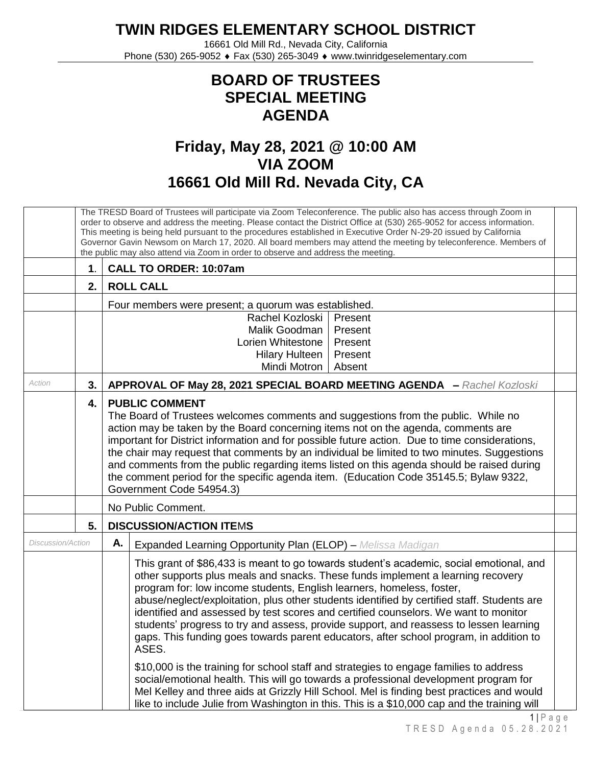## **TWIN RIDGES ELEMENTARY SCHOOL DISTRICT**

16661 Old Mill Rd., Nevada City, California Phone (530) 265-9052 ♦ Fax (530) 265-3049 ♦ www.twinridgeselementary.com

## **BOARD OF TRUSTEES SPECIAL MEETING AGENDA**

## **Friday, May 28, 2021 @ 10:00 AM VIA ZOOM 16661 Old Mill Rd. Nevada City, CA**

|                   | The TRESD Board of Trustees will participate via Zoom Teleconference. The public also has access through Zoom in<br>order to observe and address the meeting. Please contact the District Office at (530) 265-9052 for access information.<br>This meeting is being held pursuant to the procedures established in Executive Order N-29-20 issued by California<br>Governor Gavin Newsom on March 17, 2020. All board members may attend the meeting by teleconference. Members of<br>the public may also attend via Zoom in order to observe and address the meeting. |                                                                                                                                                                                                                                                                                                                                                                                                                                                                                                                                                                                                                                        |  |  |  |  |
|-------------------|------------------------------------------------------------------------------------------------------------------------------------------------------------------------------------------------------------------------------------------------------------------------------------------------------------------------------------------------------------------------------------------------------------------------------------------------------------------------------------------------------------------------------------------------------------------------|----------------------------------------------------------------------------------------------------------------------------------------------------------------------------------------------------------------------------------------------------------------------------------------------------------------------------------------------------------------------------------------------------------------------------------------------------------------------------------------------------------------------------------------------------------------------------------------------------------------------------------------|--|--|--|--|
|                   | $\mathbf 1$ .                                                                                                                                                                                                                                                                                                                                                                                                                                                                                                                                                          | CALL TO ORDER: 10:07am                                                                                                                                                                                                                                                                                                                                                                                                                                                                                                                                                                                                                 |  |  |  |  |
|                   | 2.                                                                                                                                                                                                                                                                                                                                                                                                                                                                                                                                                                     | <b>ROLL CALL</b>                                                                                                                                                                                                                                                                                                                                                                                                                                                                                                                                                                                                                       |  |  |  |  |
|                   |                                                                                                                                                                                                                                                                                                                                                                                                                                                                                                                                                                        | Four members were present; a quorum was established.                                                                                                                                                                                                                                                                                                                                                                                                                                                                                                                                                                                   |  |  |  |  |
|                   |                                                                                                                                                                                                                                                                                                                                                                                                                                                                                                                                                                        | Rachel Kozloski<br>Present                                                                                                                                                                                                                                                                                                                                                                                                                                                                                                                                                                                                             |  |  |  |  |
|                   |                                                                                                                                                                                                                                                                                                                                                                                                                                                                                                                                                                        | Malik Goodman<br>Present                                                                                                                                                                                                                                                                                                                                                                                                                                                                                                                                                                                                               |  |  |  |  |
|                   |                                                                                                                                                                                                                                                                                                                                                                                                                                                                                                                                                                        | Lorien Whitestone<br>Present<br>Present                                                                                                                                                                                                                                                                                                                                                                                                                                                                                                                                                                                                |  |  |  |  |
|                   |                                                                                                                                                                                                                                                                                                                                                                                                                                                                                                                                                                        | <b>Hilary Hulteen</b><br>Mindi Motron<br>Absent                                                                                                                                                                                                                                                                                                                                                                                                                                                                                                                                                                                        |  |  |  |  |
| Action            | 3.                                                                                                                                                                                                                                                                                                                                                                                                                                                                                                                                                                     | APPROVAL OF May 28, 2021 SPECIAL BOARD MEETING AGENDA - Rachel Kozloski                                                                                                                                                                                                                                                                                                                                                                                                                                                                                                                                                                |  |  |  |  |
|                   | 4.                                                                                                                                                                                                                                                                                                                                                                                                                                                                                                                                                                     | <b>PUBLIC COMMENT</b><br>The Board of Trustees welcomes comments and suggestions from the public. While no<br>action may be taken by the Board concerning items not on the agenda, comments are<br>important for District information and for possible future action. Due to time considerations,<br>the chair may request that comments by an individual be limited to two minutes. Suggestions<br>and comments from the public regarding items listed on this agenda should be raised during<br>the comment period for the specific agenda item. (Education Code 35145.5; Bylaw 9322,<br>Government Code 54954.3)                    |  |  |  |  |
|                   |                                                                                                                                                                                                                                                                                                                                                                                                                                                                                                                                                                        | No Public Comment.                                                                                                                                                                                                                                                                                                                                                                                                                                                                                                                                                                                                                     |  |  |  |  |
|                   | 5.                                                                                                                                                                                                                                                                                                                                                                                                                                                                                                                                                                     | <b>DISCUSSION/ACTION ITEMS</b>                                                                                                                                                                                                                                                                                                                                                                                                                                                                                                                                                                                                         |  |  |  |  |
| Discussion/Action |                                                                                                                                                                                                                                                                                                                                                                                                                                                                                                                                                                        | Α.<br><b>Expanded Learning Opportunity Plan (ELOP)</b> - Melissa Madigan                                                                                                                                                                                                                                                                                                                                                                                                                                                                                                                                                               |  |  |  |  |
|                   |                                                                                                                                                                                                                                                                                                                                                                                                                                                                                                                                                                        | This grant of \$86,433 is meant to go towards student's academic, social emotional, and<br>other supports plus meals and snacks. These funds implement a learning recovery<br>program for: low income students, English learners, homeless, foster,<br>abuse/neglect/exploitation, plus other students identified by certified staff. Students are<br>identified and assessed by test scores and certified counselors. We want to monitor<br>students' progress to try and assess, provide support, and reassess to lessen learning<br>gaps. This funding goes towards parent educators, after school program, in addition to<br>ASES. |  |  |  |  |
|                   |                                                                                                                                                                                                                                                                                                                                                                                                                                                                                                                                                                        | \$10,000 is the training for school staff and strategies to engage families to address<br>social/emotional health. This will go towards a professional development program for<br>Mel Kelley and three aids at Grizzly Hill School. Mel is finding best practices and would<br>like to include Julie from Washington in this. This is a \$10,000 cap and the training will                                                                                                                                                                                                                                                             |  |  |  |  |